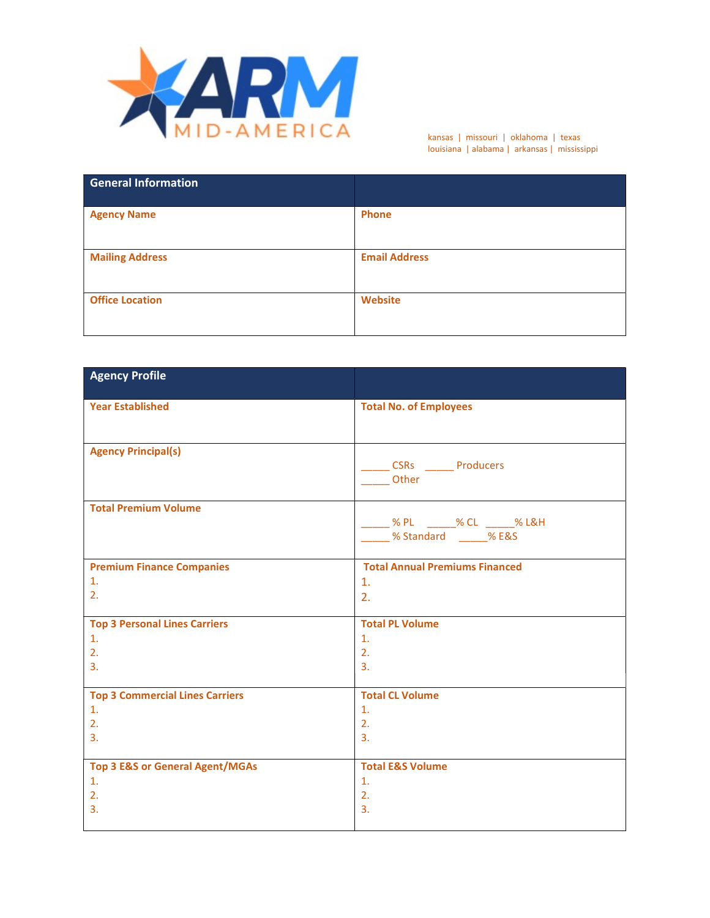

kansas | missouri | oklahoma | texas louisiana | alabama | arkansas | mississippi

| <b>General Information</b> |                      |
|----------------------------|----------------------|
| <b>Agency Name</b>         | <b>Phone</b>         |
| <b>Mailing Address</b>     | <b>Email Address</b> |
| <b>Office Location</b>     | Website              |

| <b>Agency Profile</b>                      |                                                                              |
|--------------------------------------------|------------------------------------------------------------------------------|
| <b>Year Established</b>                    | <b>Total No. of Employees</b>                                                |
| <b>Agency Principal(s)</b>                 | _CSRs ______Producers<br>Other                                               |
| <b>Total Premium Volume</b>                | ___ % PL ______% CL ______% L&H<br><b>Warehold Market Standard</b> 2004 MERS |
| <b>Premium Finance Companies</b>           | <b>Total Annual Premiums Financed</b>                                        |
| 1.                                         | $\mathbf{1}$ .                                                               |
| 2.                                         | 2.                                                                           |
| <b>Top 3 Personal Lines Carriers</b>       | <b>Total PL Volume</b>                                                       |
| $\mathbf{1}$ .                             | $\mathbf{1}$ .                                                               |
| 2.                                         | 2.                                                                           |
| 3.                                         | 3.                                                                           |
| <b>Top 3 Commercial Lines Carriers</b>     | <b>Total CL Volume</b>                                                       |
| $\mathbf{1}$ .                             | $\mathbf{1}$ .                                                               |
| 2.                                         | 2.                                                                           |
| 3.                                         | $\overline{3}$ .                                                             |
| <b>Top 3 E&amp;S or General Agent/MGAs</b> | <b>Total E&amp;S Volume</b>                                                  |
| $\mathbf{1}$ .                             | $\mathbf{1}$ .                                                               |
| 2.                                         | 2.                                                                           |
| 3.                                         | 3.                                                                           |